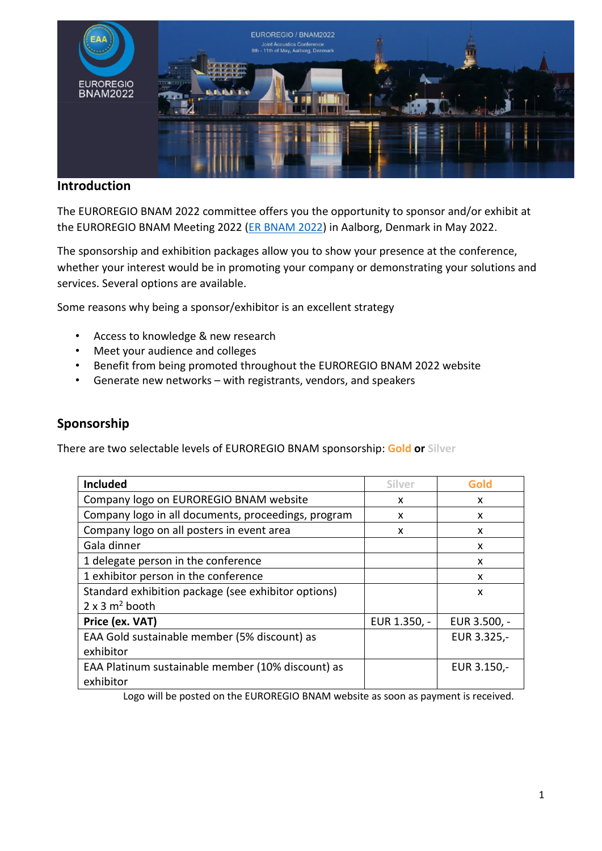

# **Introduction**

The EUROREGIO BNAM 2022 committee offers you the opportunity to sponsor and/or exhibit at the EUROREGIO BNAM Meeting 2022 [\(ER BNAM 2022\)](http://www.bnam2022.org/) in Aalborg, Denmark in May 2022.

The sponsorship and exhibition packages allow you to show your presence at the conference, whether your interest would be in promoting your company or demonstrating your solutions and services. Several options are available.

Some reasons why being a sponsor/exhibitor is an excellent strategy

- Access to knowledge & new research
- Meet your audience and colleges
- Benefit from being promoted throughout the EUROREGIO BNAM 2022 website
- Generate new networks with registrants, vendors, and speakers

# **Sponsorship**

There are two selectable levels of EUROREGIO BNAM sponsorship: **Gold or Silver**

| <b>Included</b>                                     | Silver       | Gold         |
|-----------------------------------------------------|--------------|--------------|
| Company logo on EUROREGIO BNAM website              | x            | x            |
| Company logo in all documents, proceedings, program | x            | x            |
| Company logo on all posters in event area           | x            | x            |
| Gala dinner                                         |              | X            |
| 1 delegate person in the conference                 |              | X            |
| 1 exhibitor person in the conference                |              | x            |
| Standard exhibition package (see exhibitor options) |              | X            |
| $2 \times 3$ m <sup>2</sup> booth                   |              |              |
| Price (ex. VAT)                                     | EUR 1.350, - | EUR 3.500, - |
| EAA Gold sustainable member (5% discount) as        |              | EUR 3.325,-  |
| exhibitor                                           |              |              |
| EAA Platinum sustainable member (10% discount) as   |              | EUR 3.150,-  |
| exhibitor                                           |              |              |

Logo will be posted on the EUROREGIO BNAM website as soon as payment is received.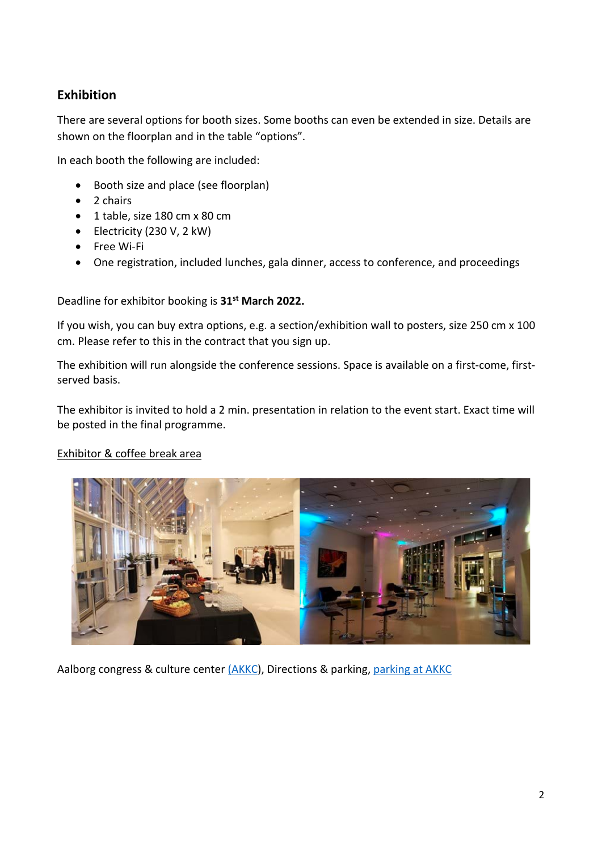# **Exhibition**

There are several options for booth sizes. Some booths can even be extended in size. Details are shown on the floorplan and in the table "options".

In each booth the following are included:

- Booth size and place (see floorplan)
- 2 chairs
- 1 table, size 180 cm x 80 cm
- Electricity (230 V, 2 kW)
- Free Wi-Fi
- One registration, included lunches, gala dinner, access to conference, and proceedings

### Deadline for exhibitor booking is **31st March 2022.**

If you wish, you can buy extra options, e.g. a section/exhibition wall to posters, size 250 cm x 100 cm. Please refer to this in the contract that you sign up.

The exhibition will run alongside the conference sessions. Space is available on a first-come, firstserved basis.

The exhibitor is invited to hold a 2 min. presentation in relation to the event start. Exact time will be posted in the final programme.

#### Exhibitor & coffee break area



Aalborg congress & culture center [\(AKKC\)](https://uk.akkc.dk/), Directions & parking, [parking at AKKC](https://uk.akkc.dk/about-akkc/getting-there-and-parking/)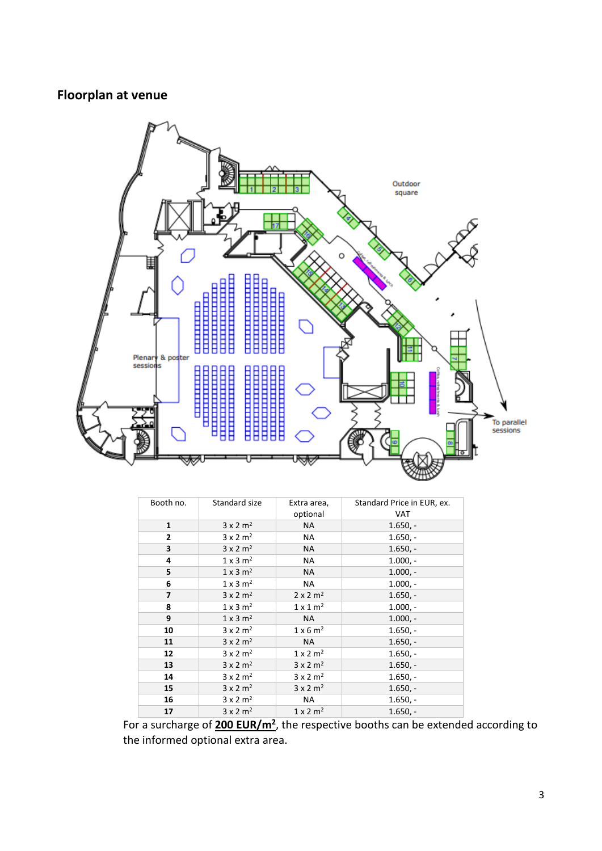# **Floorplan at venue**



| Booth no.               | Standard size               | Extra area,                 | Standard Price in EUR, ex. |
|-------------------------|-----------------------------|-----------------------------|----------------------------|
|                         |                             | optional                    | VAT                        |
| 1                       | $3 \times 2$ m <sup>2</sup> | <b>NA</b>                   | $1.650,-$                  |
| $\overline{2}$          | $3 \times 2$ m <sup>2</sup> | NA                          | $1.650. -$                 |
| $\overline{\mathbf{3}}$ | $3 \times 2$ m <sup>2</sup> | NA                          | $1.650. -$                 |
| 4                       | $1 \times 3$ m <sup>2</sup> | NA                          | $1.000, -$                 |
| 5                       | $1 \times 3$ m <sup>2</sup> | <b>NA</b>                   | $1.000 -$                  |
| 6                       | $1 \times 3$ m <sup>2</sup> | NA                          | $1.000 -$                  |
| 7                       | $3 \times 2$ m <sup>2</sup> | $2 \times 2$ m <sup>2</sup> | $1.650,-$                  |
| 8                       | $1 \times 3$ m <sup>2</sup> | $1 \times 1$ m <sup>2</sup> | $1.000 -$                  |
| 9                       | $1 \times 3$ m <sup>2</sup> | NA                          | $1.000 -$                  |
| 10                      | $3 \times 2$ m <sup>2</sup> | $1 \times 6$ m <sup>2</sup> | $1.650,-$                  |
| 11                      | $3 \times 2$ m <sup>2</sup> | <b>NA</b>                   | $1.650,-$                  |
| 12                      | $3 \times 2$ m <sup>2</sup> | $1 \times 2$ m <sup>2</sup> | $1.650,-$                  |
| 13                      | $3 \times 2$ m <sup>2</sup> | $3 \times 2$ m <sup>2</sup> | $1.650,-$                  |
| 14                      | $3 \times 2$ m <sup>2</sup> | $3 \times 2$ m <sup>2</sup> | $1.650,-$                  |
| 15                      | $3 \times 2$ m <sup>2</sup> | $3 \times 2$ m <sup>2</sup> | $1.650,-$                  |
| 16                      | $3 \times 2$ m <sup>2</sup> | NA                          | $1.650,-$                  |
| 17                      | $3 \times 2$ m <sup>2</sup> | $1 \times 2$ m <sup>2</sup> | $1.650. -$                 |

For a surcharge of **200 EUR/m2**, the respective booths can be extended according to the informed optional extra area.